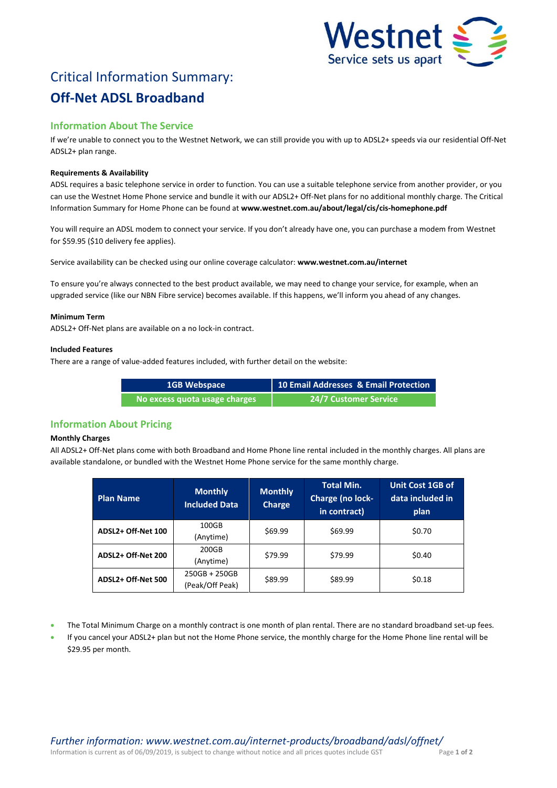

# Critical Information Summary: **Off-Net ADSL Broadband**

# **Information About The Service**

If we're unable to connect you to the Westnet Network, we can still provide you with up to ADSL2+ speeds via our residential Off-Net ADSL2+ plan range.

# **Requirements & Availability**

ADSL requires a basic telephone service in order to function. You can use a suitable telephone service from another provider, or you can use the Westnet Home Phone service and bundle it with our ADSL2+ Off-Net plans for no additional monthly charge. The Critical Information Summary for Home Phone can be found at **www.westnet.com.au/about/legal/cis/cis-homephone.pdf**

You will require an ADSL modem to connect your service. If you don't already have one, you can purchase a modem from Westnet for \$59.95 (\$10 delivery fee applies).

Service availability can be checked using our online coverage calculator: **www.westnet.com.au/internet**

To ensure you're always connected to the best product available, we may need to change your service, for example, when an upgraded service (like our NBN Fibre service) becomes available. If this happens, we'll inform you ahead of any changes.

#### **Minimum Term**

ADSL2+ Off-Net plans are available on a no lock-in contract.

#### **Included Features**

There are a range of value-added features included, with further detail on the website:

| <b>1GB Webspace</b>           | 10 Email Addresses & Email Protection |
|-------------------------------|---------------------------------------|
| No excess quota usage charges | <b>24/7 Customer Service</b>          |

# **Information About Pricing**

# **Monthly Charges**

All ADSL2+ Off-Net plans come with both Broadband and Home Phone line rental included in the monthly charges. All plans are available standalone, or bundled with the Westnet Home Phone service for the same monthly charge.

| <b>Plan Name</b>   | <b>Monthly</b><br><b>Included Data</b> | <b>Monthly</b><br><b>Charge</b> | <b>Total Min.</b><br>Charge (no lock-<br>in contract) | Unit Cost 1GB of<br>data included in<br>plan |
|--------------------|----------------------------------------|---------------------------------|-------------------------------------------------------|----------------------------------------------|
| ADSL2+ Off-Net 100 | 100GB<br>(Anytime)                     | \$69.99                         | \$69.99                                               | \$0.70                                       |
| ADSL2+ Off-Net 200 | 200GB<br>(Anytime)                     | \$79.99                         | \$79.99                                               | \$0.40                                       |
| ADSL2+ Off-Net 500 | $250GB + 250GB$<br>(Peak/Off Peak)     | \$89.99                         | \$89.99                                               | \$0.18                                       |

- The Total Minimum Charge on a monthly contract is one month of plan rental. There are no standard broadband set-up fees.
- If you cancel your ADSL2+ plan but not the Home Phone service, the monthly charge for the Home Phone line rental will be \$29.95 per month.